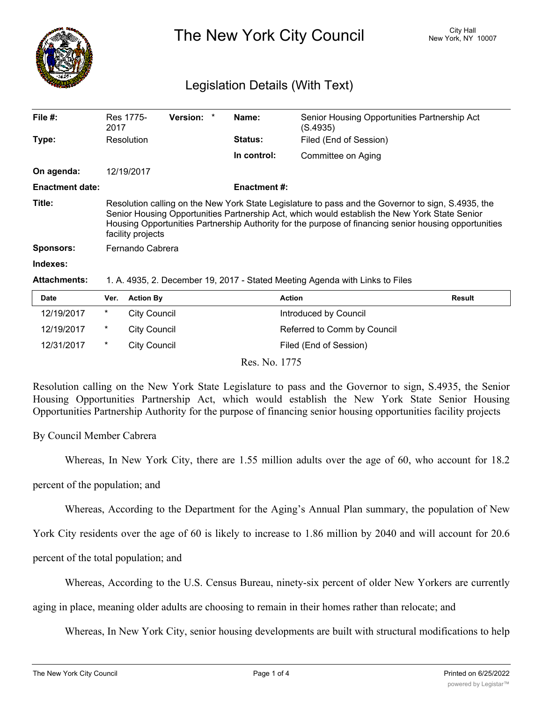

# The New York City Council New York, NY 10007

## Legislation Details (With Text)

| File #:                | Res 1775-<br>2017                                                                                                                                                                                                                                                                                                                 | Version: * |  | Name:          | Senior Housing Opportunities Partnership Act<br>(S.4935)                                                                                                                                                                                                                                                                                                        |  |  |
|------------------------|-----------------------------------------------------------------------------------------------------------------------------------------------------------------------------------------------------------------------------------------------------------------------------------------------------------------------------------|------------|--|----------------|-----------------------------------------------------------------------------------------------------------------------------------------------------------------------------------------------------------------------------------------------------------------------------------------------------------------------------------------------------------------|--|--|
| Type:                  | Resolution                                                                                                                                                                                                                                                                                                                        |            |  | <b>Status:</b> | Filed (End of Session)                                                                                                                                                                                                                                                                                                                                          |  |  |
|                        |                                                                                                                                                                                                                                                                                                                                   |            |  | In control:    | Committee on Aging                                                                                                                                                                                                                                                                                                                                              |  |  |
| On agenda:             | 12/19/2017                                                                                                                                                                                                                                                                                                                        |            |  |                |                                                                                                                                                                                                                                                                                                                                                                 |  |  |
| <b>Enactment date:</b> | <b>Enactment #:</b>                                                                                                                                                                                                                                                                                                               |            |  |                |                                                                                                                                                                                                                                                                                                                                                                 |  |  |
| Title:                 | Resolution calling on the New York State Legislature to pass and the Governor to sign, S.4935, the<br>Senior Housing Opportunities Partnership Act, which would establish the New York State Senior<br>Housing Opportunities Partnership Authority for the purpose of financing senior housing opportunities<br>facility projects |            |  |                |                                                                                                                                                                                                                                                                                                                                                                 |  |  |
| <b>Sponsors:</b>       | Fernando Cabrera                                                                                                                                                                                                                                                                                                                  |            |  |                |                                                                                                                                                                                                                                                                                                                                                                 |  |  |
| Indexes:               |                                                                                                                                                                                                                                                                                                                                   |            |  |                |                                                                                                                                                                                                                                                                                                                                                                 |  |  |
|                        |                                                                                                                                                                                                                                                                                                                                   |            |  |                | $\overline{10}$ $\overline{01}$ $\overline{11}$ $\overline{11}$ $\overline{11}$ $\overline{11}$ $\overline{11}$ $\overline{11}$ $\overline{11}$ $\overline{11}$ $\overline{11}$ $\overline{11}$ $\overline{11}$ $\overline{11}$ $\overline{11}$ $\overline{11}$ $\overline{11}$ $\overline{11}$ $\overline{11}$ $\overline{11}$ $\overline{11}$ $\overline{11}$ |  |  |

#### **Attachments:** 1. A. 4935, 2. December 19, 2017 - Stated Meeting Agenda with Links to Files

| <b>Date</b> | Ver. | <b>Action By</b>    | <b>Action</b>               | <b>Result</b> |
|-------------|------|---------------------|-----------------------------|---------------|
| 12/19/2017  | *    | City Council        | Introduced by Council       |               |
| 12/19/2017  | *    | <b>City Council</b> | Referred to Comm by Council |               |
| 12/31/2017  | *    | City Council        | Filed (End of Session)      |               |
|             |      |                     |                             |               |

Res. No. 1775

Resolution calling on the New York State Legislature to pass and the Governor to sign, S.4935, the Senior Housing Opportunities Partnership Act, which would establish the New York State Senior Housing Opportunities Partnership Authority for the purpose of financing senior housing opportunities facility projects

By Council Member Cabrera

Whereas, In New York City, there are 1.55 million adults over the age of 60, who account for 18.2

percent of the population; and

Whereas, According to the Department for the Aging's Annual Plan summary, the population of New

York City residents over the age of 60 is likely to increase to 1.86 million by 2040 and will account for 20.6

percent of the total population; and

Whereas, According to the U.S. Census Bureau, ninety-six percent of older New Yorkers are currently

aging in place, meaning older adults are choosing to remain in their homes rather than relocate; and

Whereas, In New York City, senior housing developments are built with structural modifications to help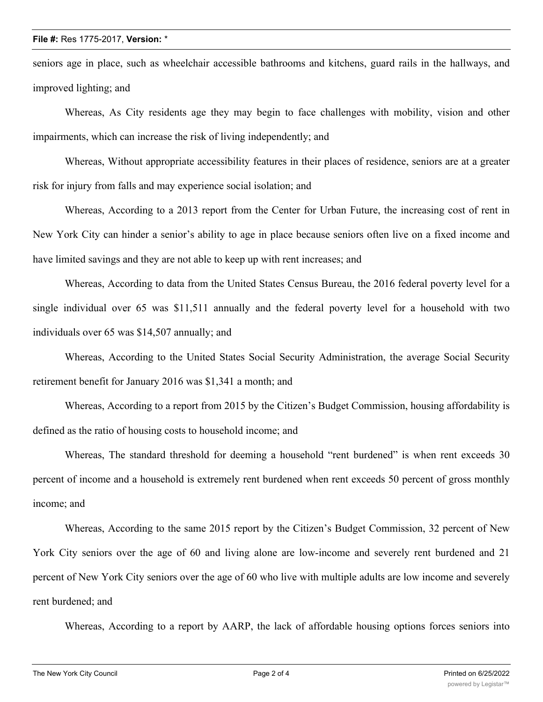#### **File #:** Res 1775-2017, **Version:** \*

seniors age in place, such as wheelchair accessible bathrooms and kitchens, guard rails in the hallways, and improved lighting; and

Whereas, As City residents age they may begin to face challenges with mobility, vision and other impairments, which can increase the risk of living independently; and

Whereas, Without appropriate accessibility features in their places of residence, seniors are at a greater risk for injury from falls and may experience social isolation; and

Whereas, According to a 2013 report from the Center for Urban Future, the increasing cost of rent in New York City can hinder a senior's ability to age in place because seniors often live on a fixed income and have limited savings and they are not able to keep up with rent increases; and

Whereas, According to data from the United States Census Bureau, the 2016 federal poverty level for a single individual over 65 was \$11,511 annually and the federal poverty level for a household with two individuals over 65 was \$14,507 annually; and

Whereas, According to the United States Social Security Administration, the average Social Security retirement benefit for January 2016 was \$1,341 a month; and

Whereas, According to a report from 2015 by the Citizen's Budget Commission, housing affordability is defined as the ratio of housing costs to household income; and

Whereas, The standard threshold for deeming a household "rent burdened" is when rent exceeds 30 percent of income and a household is extremely rent burdened when rent exceeds 50 percent of gross monthly income; and

Whereas, According to the same 2015 report by the Citizen's Budget Commission, 32 percent of New York City seniors over the age of 60 and living alone are low-income and severely rent burdened and 21 percent of New York City seniors over the age of 60 who live with multiple adults are low income and severely rent burdened; and

Whereas, According to a report by AARP, the lack of affordable housing options forces seniors into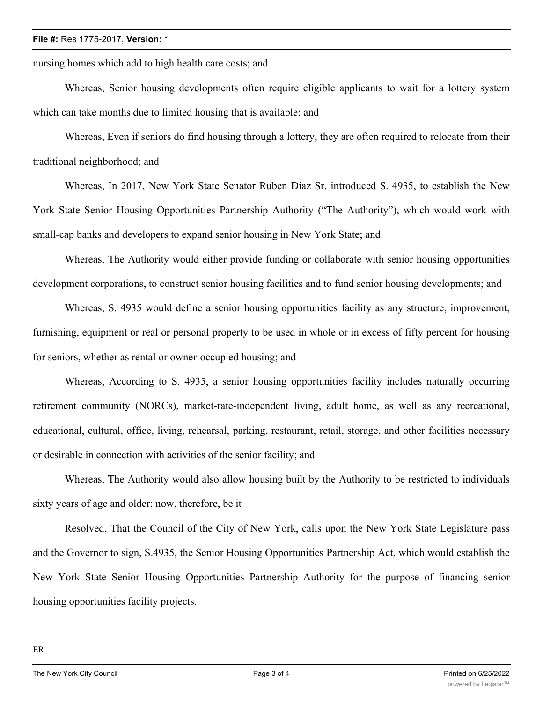#### **File #:** Res 1775-2017, **Version:** \*

nursing homes which add to high health care costs; and

Whereas, Senior housing developments often require eligible applicants to wait for a lottery system which can take months due to limited housing that is available; and

Whereas, Even if seniors do find housing through a lottery, they are often required to relocate from their traditional neighborhood; and

Whereas, In 2017, New York State Senator Ruben Diaz Sr. introduced S. 4935, to establish the New York State Senior Housing Opportunities Partnership Authority ("The Authority"), which would work with small-cap banks and developers to expand senior housing in New York State; and

Whereas, The Authority would either provide funding or collaborate with senior housing opportunities development corporations, to construct senior housing facilities and to fund senior housing developments; and

Whereas, S. 4935 would define a senior housing opportunities facility as any structure, improvement, furnishing, equipment or real or personal property to be used in whole or in excess of fifty percent for housing for seniors, whether as rental or owner-occupied housing; and

Whereas, According to S. 4935, a senior housing opportunities facility includes naturally occurring retirement community (NORCs), market-rate-independent living, adult home, as well as any recreational, educational, cultural, office, living, rehearsal, parking, restaurant, retail, storage, and other facilities necessary or desirable in connection with activities of the senior facility; and

Whereas, The Authority would also allow housing built by the Authority to be restricted to individuals sixty years of age and older; now, therefore, be it

Resolved, That the Council of the City of New York, calls upon the New York State Legislature pass and the Governor to sign, S.4935, the Senior Housing Opportunities Partnership Act, which would establish the New York State Senior Housing Opportunities Partnership Authority for the purpose of financing senior housing opportunities facility projects.